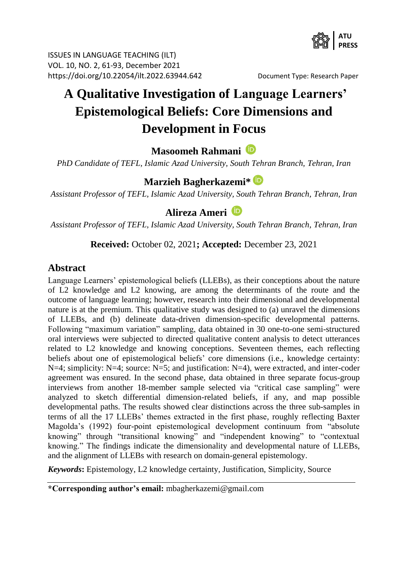

ISSUES IN LANGUAGE TEACHING (ILT) VOL. 10, NO. 2, 61-93, December 2021 <https://doi.org/10.22054/ilt.2022.63944.642>Document Type: Research Paper

# **A Qualitative Investigation of Language Learners' Epistemological Beliefs: Core Dimensions and Development in Focus**

**Masoomeh Rahmani**

*PhD Candidate of TEFL, Islamic Azad University, South Tehran Branch, Tehran, Iran*

### **Marzieh Bagherkazemi\***

*Assistant Professor of TEFL, Islamic Azad University, South Tehran Branch, Tehran, Iran*

### **Alireza Ameri**

*Assistant Professor of TEFL, Islamic Azad University, South Tehran Branch, Tehran, Iran*

#### **Received:** October 02, 2021**; Accepted:** December 23, 2021

### **Abstract**

Language Learners' epistemological beliefs (LLEBs), as their conceptions about the nature of L2 knowledge and L2 knowing, are among the determinants of the route and the outcome of language learning; however, research into their dimensional and developmental nature is at the premium. This qualitative study was designed to (a) unravel the dimensions of LLEBs, and (b) delineate data-driven dimension-specific developmental patterns. Following "maximum variation" sampling, data obtained in 30 one-to-one semi-structured oral interviews were subjected to directed qualitative content analysis to detect utterances related to L2 knowledge and knowing conceptions. Seventeen themes, each reflecting beliefs about one of epistemological beliefs' core dimensions (i.e., knowledge certainty: N=4; simplicity: N=4; source: N=5; and justification: N=4), were extracted, and inter-coder agreement was ensured. In the second phase, data obtained in three separate focus-group interviews from another 18-member sample selected via "critical case sampling" were analyzed to sketch differential dimension-related beliefs, if any, and map possible developmental paths. The results showed clear distinctions across the three sub-samples in terms of all the 17 LLEBs' themes extracted in the first phase, roughly reflecting Baxter Magolda's (1992) four-point epistemological development continuum from "absolute knowing" through "transitional knowing" and "independent knowing" to "contextual knowing." The findings indicate the dimensionality and developmental nature of LLEBs, and the alignment of LLEBs with research on domain-general epistemology.

*Keywords***:** Epistemology, L2 knowledge certainty, Justification, Simplicity, Source

**\*Corresponding author's email:** mbagherkazemi@gmail.com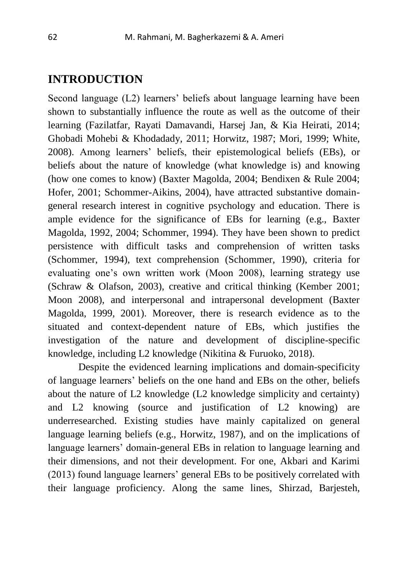### **INTRODUCTION**

Second language (L2) learners' beliefs about language learning have been shown to substantially influence the route as well as the outcome of their learning (Fazilatfar, Rayati Damavandi, Harsej Jan, & Kia Heirati, 2014; Ghobadi Mohebi & Khodadady, 2011; Horwitz, 1987; Mori, 1999; White, 2008). Among learners' beliefs, their epistemological beliefs (EBs), or beliefs about the nature of knowledge (what knowledge is) and knowing (how one comes to know) (Baxter Magolda, 2004; Bendixen & Rule 2004; Hofer, 2001; Schommer-Aikins, 2004), have attracted substantive domaingeneral research interest in cognitive psychology and education. There is ample evidence for the significance of EBs for learning (e.g., Baxter Magolda, 1992, 2004; Schommer, 1994). They have been shown to predict persistence with difficult tasks and comprehension of written tasks (Schommer, 1994), text comprehension (Schommer, 1990), criteria for evaluating one's own written work (Moon 2008), learning strategy use (Schraw & Olafson, 2003), creative and critical thinking (Kember 2001; Moon 2008), and interpersonal and intrapersonal development (Baxter Magolda, 1999, 2001). Moreover, there is research evidence as to the situated and context-dependent nature of EBs, which justifies the investigation of the nature and development of discipline-specific knowledge, including L2 knowledge (Nikitina & Furuoko, 2018).

 Despite the evidenced learning implications and domain-specificity of language learners' beliefs on the one hand and EBs on the other, beliefs about the nature of L2 knowledge (L2 knowledge simplicity and certainty) and L2 knowing (source and justification of L2 knowing) are underresearched. Existing studies have mainly capitalized on general language learning beliefs (e.g., Horwitz, 1987), and on the implications of language learners' domain-general EBs in relation to language learning and their dimensions, and not their development. For one, Akbari and Karimi (2013) found language learners' general EBs to be positively correlated with their language proficiency. Along the same lines, Shirzad, Barjesteh,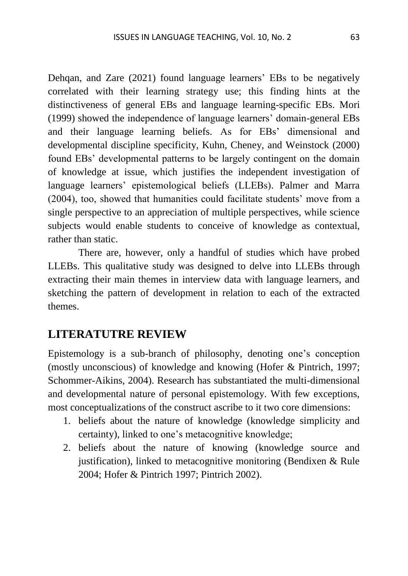Dehqan, and Zare (2021) found language learners' EBs to be negatively correlated with their learning strategy use; this finding hints at the distinctiveness of general EBs and language learning-specific EBs. Mori (1999) showed the independence of language learners' domain-general EBs and their language learning beliefs. As for EBs' dimensional and developmental discipline specificity, Kuhn, Cheney, and Weinstock (2000) found EBs' developmental patterns to be largely contingent on the domain of knowledge at issue, which justifies the independent investigation of language learners' epistemological beliefs (LLEBs). Palmer and Marra (2004), too, showed that humanities could facilitate students' move from a single perspective to an appreciation of multiple perspectives, while science subjects would enable students to conceive of knowledge as contextual, rather than static.

 There are, however, only a handful of studies which have probed LLEBs. This qualitative study was designed to delve into LLEBs through extracting their main themes in interview data with language learners, and sketching the pattern of development in relation to each of the extracted themes.

### **LITERATUTRE REVIEW**

Epistemology is a sub-branch of philosophy, denoting one's conception (mostly unconscious) of knowledge and knowing (Hofer & Pintrich, 1997; Schommer-Aikins, 2004). Research has substantiated the multi-dimensional and developmental nature of personal epistemology. With few exceptions, most conceptualizations of the construct ascribe to it two core dimensions:

- 1. beliefs about the nature of knowledge (knowledge simplicity and certainty), linked to one's metacognitive knowledge;
- 2. beliefs about the nature of knowing (knowledge source and justification), linked to metacognitive monitoring (Bendixen & Rule 2004; Hofer & Pintrich 1997; Pintrich 2002).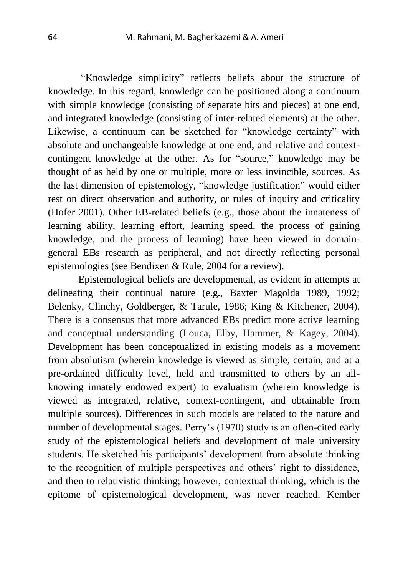"Knowledge simplicity" reflects beliefs about the structure of knowledge. In this regard, knowledge can be positioned along a continuum with simple knowledge (consisting of separate bits and pieces) at one end. and integrated knowledge (consisting of inter-related elements) at the other. Likewise, a continuum can be sketched for "knowledge certainty" with absolute and unchangeable knowledge at one end, and relative and contextcontingent knowledge at the other. As for "source," knowledge may be thought of as held by one or multiple, more or less invincible, sources. As the last dimension of epistemology, "knowledge justification" would either rest on direct observation and authority, or rules of inquiry and criticality (Hofer 2001). Other EB-related beliefs (e.g., those about the innateness of learning ability, learning effort, learning speed, the process of gaining knowledge, and the process of learning) have been viewed in domaingeneral EBs research as peripheral, and not directly reflecting personal epistemologies (see Bendixen & Rule, 2004 for a review).

 Epistemological beliefs are developmental, as evident in attempts at delineating their continual nature (e.g., Baxter Magolda 1989, 1992; Belenky, Clinchy, Goldberger, & Tarule, 1986; King & Kitchener, 2004). There is a consensus that more advanced EBs predict more active learning and conceptual understanding (Louca, Elby, Hammer, & Kagey, 2004). Development has been conceptualized in existing models as a movement from absolutism (wherein knowledge is viewed as simple, certain, and at a pre-ordained difficulty level, held and transmitted to others by an allknowing innately endowed expert) to evaluatism (wherein knowledge is viewed as integrated, relative, context-contingent, and obtainable from multiple sources). Differences in such models are related to the nature and number of developmental stages. Perry's (1970) study is an often-cited early study of the epistemological beliefs and development of male university students. He sketched his participants' development from absolute thinking to the recognition of multiple perspectives and others' right to dissidence, and then to relativistic thinking; however, contextual thinking, which is the epitome of epistemological development, was never reached. Kember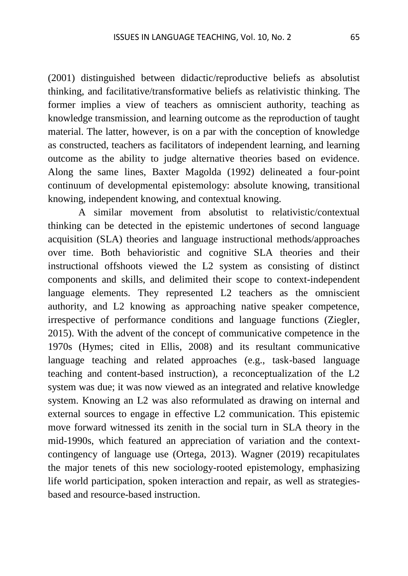(2001) distinguished between didactic/reproductive beliefs as absolutist thinking, and facilitative/transformative beliefs as relativistic thinking. The former implies a view of teachers as omniscient authority, teaching as knowledge transmission, and learning outcome as the reproduction of taught material. The latter, however, is on a par with the conception of knowledge as constructed, teachers as facilitators of independent learning, and learning outcome as the ability to judge alternative theories based on evidence. Along the same lines, Baxter Magolda (1992) delineated a four-point continuum of developmental epistemology: absolute knowing, transitional knowing, independent knowing, and contextual knowing.

 A similar movement from absolutist to relativistic/contextual thinking can be detected in the epistemic undertones of second language acquisition (SLA) theories and language instructional methods/approaches over time. Both behavioristic and cognitive SLA theories and their instructional offshoots viewed the L2 system as consisting of distinct components and skills, and delimited their scope to context-independent language elements. They represented L2 teachers as the omniscient authority, and L2 knowing as approaching native speaker competence, irrespective of performance conditions and language functions (Ziegler, 2015). With the advent of the concept of communicative competence in the 1970s (Hymes; cited in Ellis, 2008) and its resultant communicative language teaching and related approaches (e.g., task-based language teaching and content-based instruction), a reconceptualization of the L2 system was due; it was now viewed as an integrated and relative knowledge system. Knowing an L2 was also reformulated as drawing on internal and external sources to engage in effective L2 communication. This epistemic move forward witnessed its zenith in the social turn in SLA theory in the mid-1990s, which featured an appreciation of variation and the contextcontingency of language use (Ortega, 2013). Wagner (2019) recapitulates the major tenets of this new sociology-rooted epistemology, emphasizing life world participation, spoken interaction and repair, as well as strategiesbased and resource-based instruction.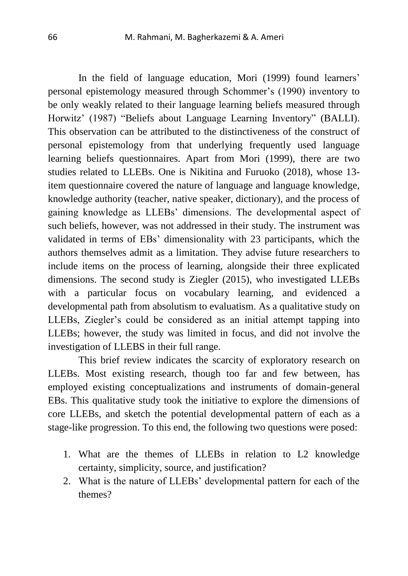In the field of language education, Mori (1999) found learners' personal epistemology measured through Schommer's (1990) inventory to be only weakly related to their language learning beliefs measured through Horwitz' (1987) "Beliefs about Language Learning Inventory" (BALLI). This observation can be attributed to the distinctiveness of the construct of personal epistemology from that underlying frequently used language learning beliefs questionnaires. Apart from Mori (1999), there are two studies related to LLEBs. One is Nikitina and Furuoko (2018), whose 13 item questionnaire covered the nature of language and language knowledge, knowledge authority (teacher, native speaker, dictionary), and the process of gaining knowledge as LLEBs' dimensions. The developmental aspect of such beliefs, however, was not addressed in their study. The instrument was validated in terms of EBs' dimensionality with 23 participants, which the authors themselves admit as a limitation. They advise future researchers to include items on the process of learning, alongside their three explicated dimensions. The second study is Ziegler (2015), who investigated LLEBs with a particular focus on vocabulary learning, and evidenced a developmental path from absolutism to evaluatism. As a qualitative study on LLEBs, Ziegler's could be considered as an initial attempt tapping into LLEBs; however, the study was limited in focus, and did not involve the investigation of LLEBS in their full range.

 This brief review indicates the scarcity of exploratory research on LLEBs. Most existing research, though too far and few between, has employed existing conceptualizations and instruments of domain-general EBs. This qualitative study took the initiative to explore the dimensions of core LLEBs, and sketch the potential developmental pattern of each as a stage-like progression. To this end, the following two questions were posed:

- 1. What are the themes of LLEBs in relation to L2 knowledge certainty, simplicity, source, and justification?
- 2. What is the nature of LLEBs' developmental pattern for each of the themes?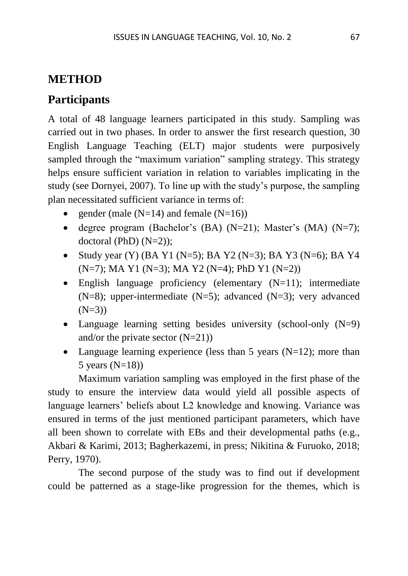# **METHOD**

# **Participants**

A total of 48 language learners participated in this study. Sampling was carried out in two phases. In order to answer the first research question, 30 English Language Teaching (ELT) major students were purposively sampled through the "maximum variation" sampling strategy. This strategy helps ensure sufficient variation in relation to variables implicating in the study (see Dornyei, 2007). To line up with the study's purpose, the sampling plan necessitated sufficient variance in terms of:

- gender (male  $(N=14)$  and female  $(N=16)$ )
- degree program (Bachelor's (BA)  $(N=21)$ ; Master's  $(MA)$   $(N=7)$ ; doctoral (PhD)  $(N=2)$ );
- Study year (Y) (BA Y1 (N=5); BA Y2 (N=3); BA Y3 (N=6); BA Y4 (N=7); MA Y1 (N=3); MA Y2 (N=4); PhD Y1 (N=2))
- English language proficiency (elementary  $(N=11)$ ; intermediate (N=8); upper-intermediate (N=5); advanced (N=3); very advanced  $(N=3)$
- Language learning setting besides university (school-only  $(N=9)$ ) and/or the private sector  $(N=21)$ )
- Language learning experience (less than 5 years  $(N=12)$ ; more than 5 years  $(N=18)$

Maximum variation sampling was employed in the first phase of the study to ensure the interview data would yield all possible aspects of language learners' beliefs about L2 knowledge and knowing. Variance was ensured in terms of the just mentioned participant parameters, which have all been shown to correlate with EBs and their developmental paths (e.g., Akbari & Karimi, 2013; Bagherkazemi, in press; Nikitina & Furuoko, 2018; Perry, 1970).

 The second purpose of the study was to find out if development could be patterned as a stage-like progression for the themes, which is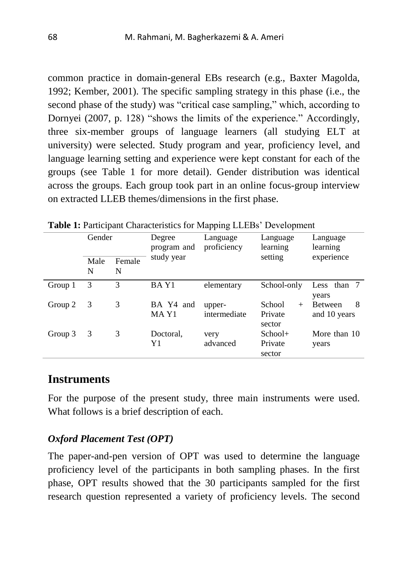common practice in domain-general EBs research (e.g., Baxter Magolda, 1992; Kember, 2001). The specific sampling strategy in this phase (i.e., the second phase of the study) was "critical case sampling," which, according to Dornyei (2007, p. 128) "shows the limits of the experience." Accordingly, three six-member groups of language learners (all studying ELT at university) were selected. Study program and year, proficiency level, and language learning setting and experience were kept constant for each of the groups (see Table 1 for more detail). Gender distribution was identical across the groups. Each group took part in an online focus-group interview on extracted LLEB themes/dimensions in the first phase.

|         |           |               |                       | $\blacksquare$          |                                       |                                     |
|---------|-----------|---------------|-----------------------|-------------------------|---------------------------------------|-------------------------------------|
|         | Gender    |               | Degree<br>program and | Language<br>proficiency | Language<br>learning                  | Language<br>learning                |
|         | Male<br>N | Female<br>N   | study year            |                         | setting                               | experience                          |
| Group 1 | 3         | $\mathcal{R}$ | BAY1                  | elementary              | School-only                           | Less than 7<br>years                |
| Group 2 | 3         | 3             | BA Y4 and<br>MA Y1    | upper-<br>intermediate  | School<br>$^{+}$<br>Private<br>sector | 8<br><b>Between</b><br>and 10 years |
| Group 3 | 3         | 3             | Doctoral,<br>Y1       | very<br>advanced        | $School+$<br>Private<br>sector        | More than 10<br>years               |

**Table 1:** Participant Characteristics for Mapping LLEBs' Development

#### **Instruments**

For the purpose of the present study, three main instruments were used. What follows is a brief description of each.

#### *Oxford Placement Test (OPT)*

The paper-and-pen version of OPT was used to determine the language proficiency level of the participants in both sampling phases. In the first phase, OPT results showed that the 30 participants sampled for the first research question represented a variety of proficiency levels. The second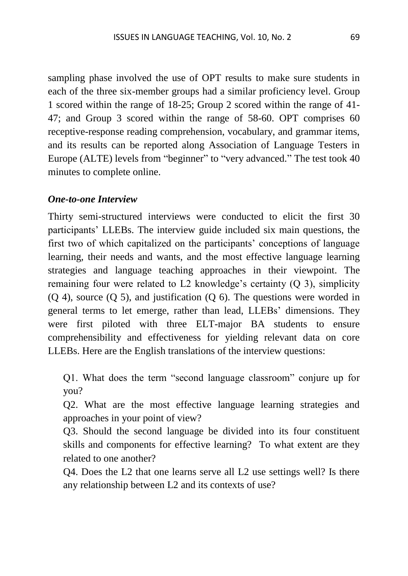sampling phase involved the use of OPT results to make sure students in each of the three six-member groups had a similar proficiency level. Group 1 scored within the range of 18-25; Group 2 scored within the range of 41- 47; and Group 3 scored within the range of 58-60. OPT comprises 60 receptive-response reading comprehension, vocabulary, and grammar items, and its results can be reported along Association of Language Testers in Europe (ALTE) levels from "beginner" to "very advanced." The test took 40 minutes to complete online.

#### *One-to-one Interview*

Thirty semi-structured interviews were conducted to elicit the first 30 participants' LLEBs. The interview guide included six main questions, the first two of which capitalized on the participants' conceptions of language learning, their needs and wants, and the most effective language learning strategies and language teaching approaches in their viewpoint. The remaining four were related to L2 knowledge's certainty (Q 3), simplicity (Q 4), source (Q 5), and justification (Q 6). The questions were worded in general terms to let emerge, rather than lead, LLEBs' dimensions. They were first piloted with three ELT-major BA students to ensure comprehensibility and effectiveness for yielding relevant data on core LLEBs. Here are the English translations of the interview questions:

Q1. What does the term "second language classroom" conjure up for you?

Q2. What are the most effective language learning strategies and approaches in your point of view?

Q3. Should the second language be divided into its four constituent skills and components for effective learning? To what extent are they related to one another?

Q4. Does the L2 that one learns serve all L2 use settings well? Is there any relationship between L2 and its contexts of use?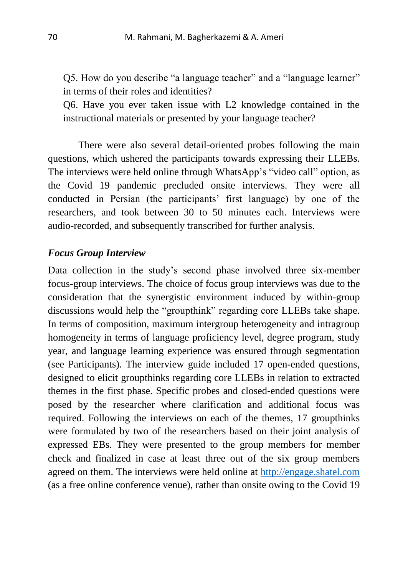Q5. How do you describe "a language teacher" and a "language learner" in terms of their roles and identities?

Q6. Have you ever taken issue with L2 knowledge contained in the instructional materials or presented by your language teacher?

There were also several detail-oriented probes following the main questions, which ushered the participants towards expressing their LLEBs. The interviews were held online through WhatsApp's "video call" option, as the Covid 19 pandemic precluded onsite interviews. They were all conducted in Persian (the participants' first language) by one of the researchers, and took between 30 to 50 minutes each. Interviews were audio-recorded, and subsequently transcribed for further analysis.

#### *Focus Group Interview*

Data collection in the study's second phase involved three six-member focus-group interviews. The choice of focus group interviews was due to the consideration that the synergistic environment induced by within-group discussions would help the "groupthink" regarding core LLEBs take shape. In terms of composition, maximum intergroup heterogeneity and intragroup homogeneity in terms of language proficiency level, degree program, study year, and language learning experience was ensured through segmentation (see Participants). The interview guide included 17 open-ended questions, designed to elicit groupthinks regarding core LLEBs in relation to extracted themes in the first phase. Specific probes and closed-ended questions were posed by the researcher where clarification and additional focus was required. Following the interviews on each of the themes, 17 groupthinks were formulated by two of the researchers based on their joint analysis of expressed EBs. They were presented to the group members for member check and finalized in case at least three out of the six group members agreed on them. The interviews were held online at [http://engage.shatel.com](http://engage.shatel.com/) (as a free online conference venue), rather than onsite owing to the Covid 19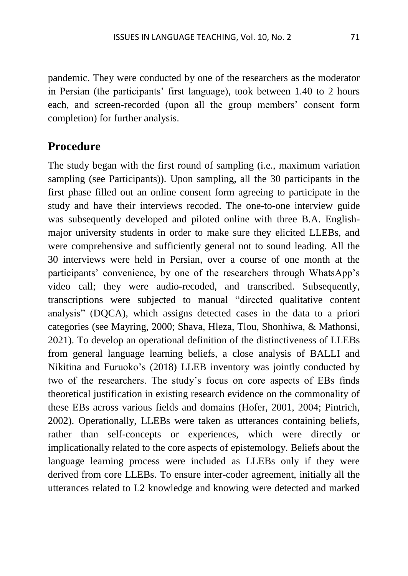pandemic. They were conducted by one of the researchers as the moderator in Persian (the participants' first language), took between 1.40 to 2 hours each, and screen-recorded (upon all the group members' consent form completion) for further analysis.

### **Procedure**

The study began with the first round of sampling (i.e., maximum variation sampling (see Participants)). Upon sampling, all the 30 participants in the first phase filled out an online consent form agreeing to participate in the study and have their interviews recoded. The one-to-one interview guide was subsequently developed and piloted online with three B.A. Englishmajor university students in order to make sure they elicited LLEBs, and were comprehensive and sufficiently general not to sound leading. All the 30 interviews were held in Persian, over a course of one month at the participants' convenience, by one of the researchers through WhatsApp's video call; they were audio-recoded, and transcribed. Subsequently, transcriptions were subjected to manual "directed qualitative content analysis" (DQCA), which assigns detected cases in the data to a priori categories (see Mayring, 2000; Shava, Hleza, Tlou, Shonhiwa, & Mathonsi, 2021). To develop an operational definition of the distinctiveness of LLEBs from general language learning beliefs, a close analysis of BALLI and Nikitina and Furuoko's (2018) LLEB inventory was jointly conducted by two of the researchers. The study's focus on core aspects of EBs finds theoretical justification in existing research evidence on the commonality of these EBs across various fields and domains (Hofer, 2001, 2004; Pintrich, 2002). Operationally, LLEBs were taken as utterances containing beliefs, rather than self-concepts or experiences, which were directly or implicationally related to the core aspects of epistemology. Beliefs about the language learning process were included as LLEBs only if they were derived from core LLEBs. To ensure inter-coder agreement, initially all the utterances related to L2 knowledge and knowing were detected and marked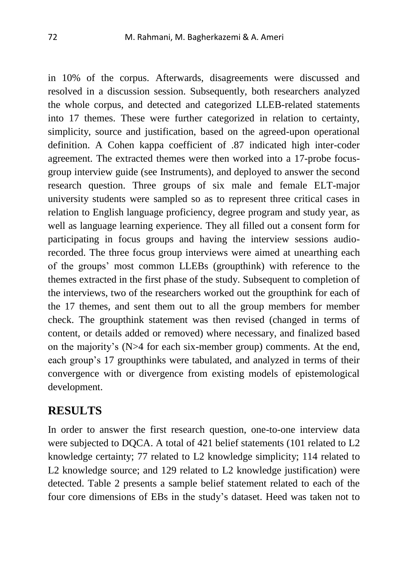in 10% of the corpus. Afterwards, disagreements were discussed and resolved in a discussion session. Subsequently, both researchers analyzed the whole corpus, and detected and categorized LLEB-related statements into 17 themes. These were further categorized in relation to certainty, simplicity, source and justification, based on the agreed-upon operational definition. A Cohen kappa coefficient of .87 indicated high inter-coder agreement. The extracted themes were then worked into a 17-probe focusgroup interview guide (see Instruments), and deployed to answer the second research question. Three groups of six male and female ELT-major university students were sampled so as to represent three critical cases in relation to English language proficiency, degree program and study year, as well as language learning experience. They all filled out a consent form for participating in focus groups and having the interview sessions audiorecorded. The three focus group interviews were aimed at unearthing each of the groups' most common LLEBs (groupthink) with reference to the themes extracted in the first phase of the study. Subsequent to completion of the interviews, two of the researchers worked out the groupthink for each of the 17 themes, and sent them out to all the group members for member check. The groupthink statement was then revised (changed in terms of content, or details added or removed) where necessary, and finalized based on the majority's (N>4 for each six-member group) comments. At the end, each group's 17 groupthinks were tabulated, and analyzed in terms of their convergence with or divergence from existing models of epistemological development.

### **RESULTS**

In order to answer the first research question, one-to-one interview data were subjected to DQCA. A total of 421 belief statements (101 related to L2 knowledge certainty; 77 related to L2 knowledge simplicity; 114 related to L2 knowledge source; and 129 related to L2 knowledge justification) were detected. Table 2 presents a sample belief statement related to each of the four core dimensions of EBs in the study's dataset. Heed was taken not to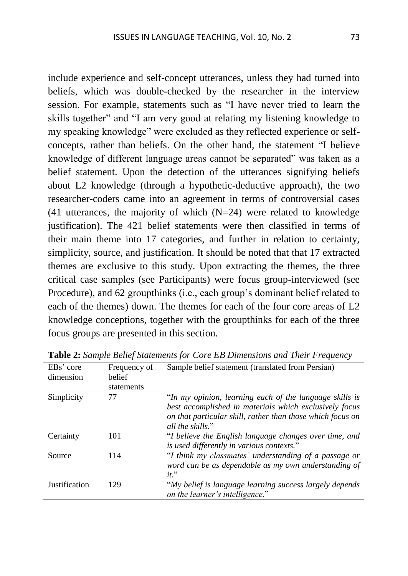include experience and self-concept utterances, unless they had turned into beliefs, which was double-checked by the researcher in the interview session. For example, statements such as "I have never tried to learn the skills together" and "I am very good at relating my listening knowledge to my speaking knowledge" were excluded as they reflected experience or selfconcepts, rather than beliefs. On the other hand, the statement "I believe knowledge of different language areas cannot be separated" was taken as a belief statement. Upon the detection of the utterances signifying beliefs about L2 knowledge (through a hypothetic-deductive approach), the two researcher-coders came into an agreement in terms of controversial cases (41 utterances, the majority of which  $(N=24)$  were related to knowledge justification). The 421 belief statements were then classified in terms of their main theme into 17 categories, and further in relation to certainty, simplicity, source, and justification. It should be noted that that 17 extracted themes are exclusive to this study. Upon extracting the themes, the three critical case samples (see Participants) were focus group-interviewed (see Procedure), and 62 groupthinks (i.e., each group's dominant belief related to each of the themes) down. The themes for each of the four core areas of L2 knowledge conceptions, together with the groupthinks for each of the three focus groups are presented in this section.

| EBs' core            | Frequency of | Sample belief statement (translated from Persian)                                                                                                                                                   |  |  |  |
|----------------------|--------------|-----------------------------------------------------------------------------------------------------------------------------------------------------------------------------------------------------|--|--|--|
| dimension            | belief       |                                                                                                                                                                                                     |  |  |  |
|                      | statements   |                                                                                                                                                                                                     |  |  |  |
| Simplicity           | 77           | "In my opinion, learning each of the language skills is<br>best accomplished in materials which exclusively focus<br>on that particular skill, rather than those which focus on<br>all the skills." |  |  |  |
| Certainty            | 101          | "I believe the English language changes over time, and<br>is used differently in various contexts."                                                                                                 |  |  |  |
| Source               | 114          | "I think my classmates' understanding of a passage or<br>word can be as dependable as my own understanding of<br>$it$ ."                                                                            |  |  |  |
| <b>Justification</b> | 129          | "My belief is language learning success largely depends<br>on the learner's intelligence."                                                                                                          |  |  |  |

**Table 2:** *Sample Belief Statements for Core EB Dimensions and Their Frequency*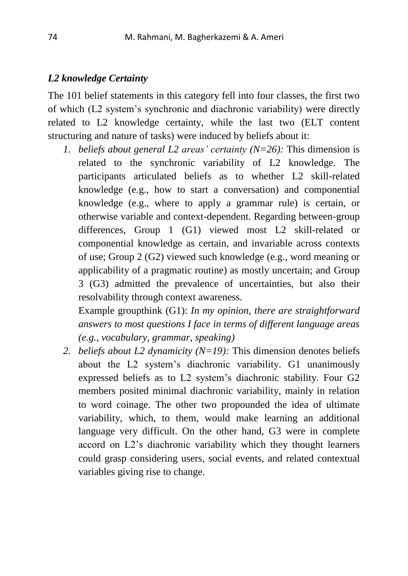#### *L2 knowledge Certainty*

The 101 belief statements in this category fell into four classes, the first two of which (L2 system's synchronic and diachronic variability) were directly related to L2 knowledge certainty, while the last two (ELT content structuring and nature of tasks) were induced by beliefs about it:

*1. beliefs about general L2 areas' certainty (N=26):* This dimension is related to the synchronic variability of L2 knowledge. The participants articulated beliefs as to whether L2 skill-related knowledge (e.g., how to start a conversation) and componential knowledge (e.g., where to apply a grammar rule) is certain, or otherwise variable and context-dependent. Regarding between-group differences, Group 1 (G1) viewed most L2 skill-related or componential knowledge as certain, and invariable across contexts of use; Group 2 (G2) viewed such knowledge (e.g., word meaning or applicability of a pragmatic routine) as mostly uncertain; and Group 3 (G3) admitted the prevalence of uncertainties, but also their resolvability through context awareness.

Example groupthink (G1): *In my opinion, there are straightforward answers to most questions I face in terms of different language areas (e.g., vocabulary, grammar, speaking)*

*2. beliefs about L2 dynamicity (N=19):* This dimension denotes beliefs about the L2 system's diachronic variability. G1 unanimously expressed beliefs as to L2 system's diachronic stability. Four G2 members posited minimal diachronic variability, mainly in relation to word coinage. The other two propounded the idea of ultimate variability, which, to them, would make learning an additional language very difficult. On the other hand, G3 were in complete accord on L2's diachronic variability which they thought learners could grasp considering users, social events, and related contextual variables giving rise to change.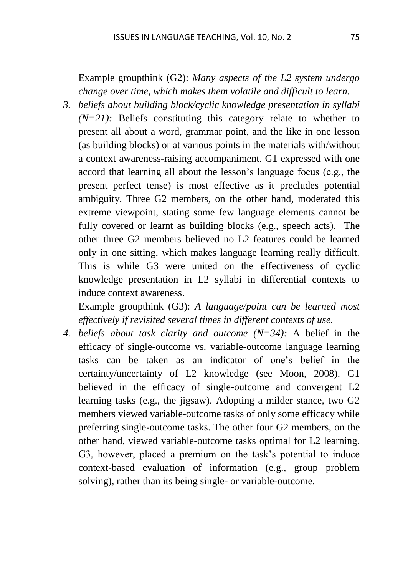Example groupthink (G2): *Many aspects of the L2 system undergo change over time, which makes them volatile and difficult to learn.*

*3. beliefs about building block/cyclic knowledge presentation in syllabi (N=21):* Beliefs constituting this category relate to whether to present all about a word, grammar point, and the like in one lesson (as building blocks) or at various points in the materials with/without a context awareness-raising accompaniment. G1 expressed with one accord that learning all about the lesson's language focus (e.g., the present perfect tense) is most effective as it precludes potential ambiguity. Three G2 members, on the other hand, moderated this extreme viewpoint, stating some few language elements cannot be fully covered or learnt as building blocks (e.g., speech acts). The other three G2 members believed no L2 features could be learned only in one sitting, which makes language learning really difficult. This is while G3 were united on the effectiveness of cyclic knowledge presentation in L2 syllabi in differential contexts to induce context awareness.

Example groupthink (G3): *A language/point can be learned most effectively if revisited several times in different contexts of use.*

*4. beliefs about task clarity and outcome (N=34):* A belief in the efficacy of single-outcome vs. variable-outcome language learning tasks can be taken as an indicator of one's belief in the certainty/uncertainty of L2 knowledge (see Moon, 2008). G1 believed in the efficacy of single-outcome and convergent L2 learning tasks (e.g., the jigsaw). Adopting a milder stance, two G2 members viewed variable-outcome tasks of only some efficacy while preferring single-outcome tasks. The other four G2 members, on the other hand, viewed variable-outcome tasks optimal for L2 learning. G3, however, placed a premium on the task's potential to induce context-based evaluation of information (e.g., group problem solving), rather than its being single- or variable-outcome.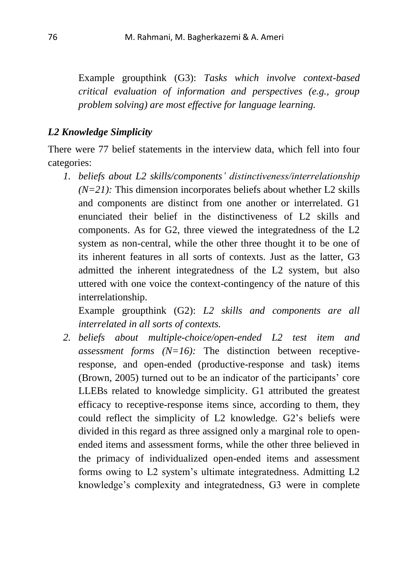Example groupthink (G3): *Tasks which involve context-based critical evaluation of information and perspectives (e.g., group problem solving) are most effective for language learning.*

#### *L2 Knowledge Simplicity*

There were 77 belief statements in the interview data, which fell into four categories:

*1. beliefs about L2 skills/components' distinctiveness/interrelationship*  $(N=21)$ : This dimension incorporates beliefs about whether L2 skills and components are distinct from one another or interrelated. G1 enunciated their belief in the distinctiveness of L2 skills and components. As for G2, three viewed the integratedness of the L2 system as non-central, while the other three thought it to be one of its inherent features in all sorts of contexts. Just as the latter, G3 admitted the inherent integratedness of the L2 system, but also uttered with one voice the context-contingency of the nature of this interrelationship.

Example groupthink (G2): *L2 skills and components are all interrelated in all sorts of contexts.* 

*2. beliefs about multiple-choice/open-ended L2 test item and assessment forms (N=16):* The distinction between receptiveresponse, and open-ended (productive-response and task) items (Brown, 2005) turned out to be an indicator of the participants' core LLEBs related to knowledge simplicity. G1 attributed the greatest efficacy to receptive-response items since, according to them, they could reflect the simplicity of L2 knowledge. G2's beliefs were divided in this regard as three assigned only a marginal role to openended items and assessment forms, while the other three believed in the primacy of individualized open-ended items and assessment forms owing to L2 system's ultimate integratedness. Admitting L2 knowledge's complexity and integratedness, G3 were in complete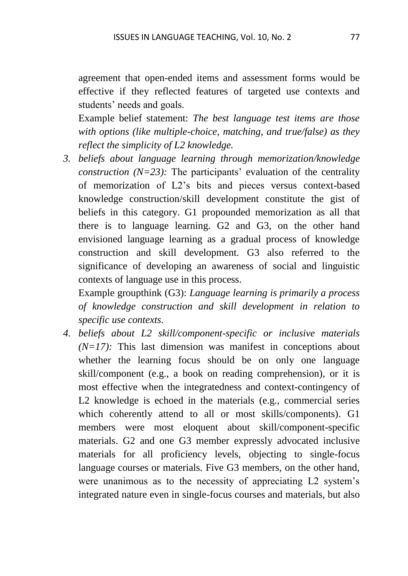agreement that open-ended items and assessment forms would be effective if they reflected features of targeted use contexts and students' needs and goals.

Example belief statement: *The best language test items are those with options (like multiple-choice, matching, and true/false) as they reflect the simplicity of L2 knowledge.*

*3. beliefs about language learning through memorization/knowledge construction*  $(N=23)$ : The participants' evaluation of the centrality of memorization of L2's bits and pieces versus context-based knowledge construction/skill development constitute the gist of beliefs in this category. G1 propounded memorization as all that there is to language learning. G2 and G3, on the other hand envisioned language learning as a gradual process of knowledge construction and skill development. G3 also referred to the significance of developing an awareness of social and linguistic contexts of language use in this process.

Example groupthink (G3): *Language learning is primarily a process of knowledge construction and skill development in relation to specific use contexts.*

*4. beliefs about L2 skill/component-specific or inclusive materials*   $(N=17)$ : This last dimension was manifest in conceptions about whether the learning focus should be on only one language skill/component (e.g., a book on reading comprehension), or it is most effective when the integratedness and context-contingency of L2 knowledge is echoed in the materials (e.g., commercial series which coherently attend to all or most skills/components). G1 members were most eloquent about skill/component-specific materials. G2 and one G3 member expressly advocated inclusive materials for all proficiency levels, objecting to single-focus language courses or materials. Five G3 members, on the other hand, were unanimous as to the necessity of appreciating L2 system's integrated nature even in single-focus courses and materials, but also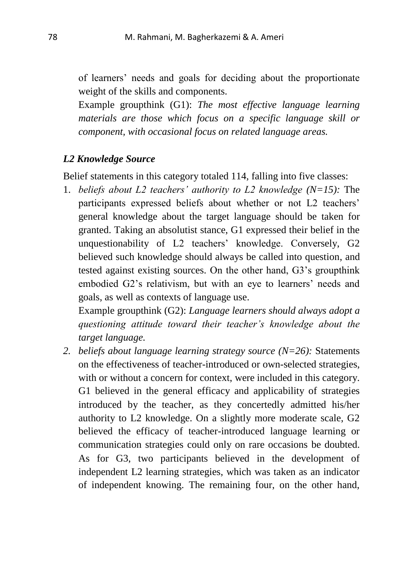of learners' needs and goals for deciding about the proportionate weight of the skills and components.

Example groupthink (G1): *The most effective language learning materials are those which focus on a specific language skill or component, with occasional focus on related language areas.*

### *L2 Knowledge Source*

Belief statements in this category totaled 114, falling into five classes:

1. *beliefs about L2 teachers' authority to L2 knowledge (N=15):* The participants expressed beliefs about whether or not L2 teachers' general knowledge about the target language should be taken for granted. Taking an absolutist stance, G1 expressed their belief in the unquestionability of L2 teachers' knowledge. Conversely, G2 believed such knowledge should always be called into question, and tested against existing sources. On the other hand, G3's groupthink embodied G2's relativism, but with an eye to learners' needs and goals, as well as contexts of language use.

Example groupthink (G2): *Language learners should always adopt a questioning attitude toward their teacher's knowledge about the target language.*

*2. beliefs about language learning strategy source (N=26):* Statements on the effectiveness of teacher-introduced or own-selected strategies, with or without a concern for context, were included in this category. G1 believed in the general efficacy and applicability of strategies introduced by the teacher, as they concertedly admitted his/her authority to L2 knowledge. On a slightly more moderate scale, G2 believed the efficacy of teacher-introduced language learning or communication strategies could only on rare occasions be doubted. As for G3, two participants believed in the development of independent L2 learning strategies, which was taken as an indicator of independent knowing. The remaining four, on the other hand,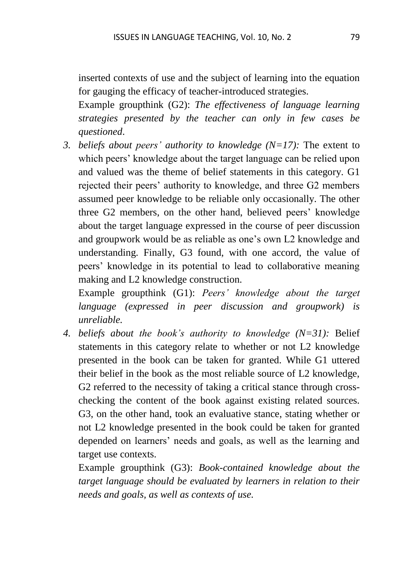inserted contexts of use and the subject of learning into the equation for gauging the efficacy of teacher-introduced strategies.

Example groupthink (G2): *The effectiveness of language learning strategies presented by the teacher can only in few cases be questioned*.

*3. beliefs about peers' authority to knowledge (N=17):* The extent to which peers' knowledge about the target language can be relied upon and valued was the theme of belief statements in this category. G1 rejected their peers' authority to knowledge, and three G2 members assumed peer knowledge to be reliable only occasionally. The other three G2 members, on the other hand, believed peers' knowledge about the target language expressed in the course of peer discussion and groupwork would be as reliable as one's own L2 knowledge and understanding. Finally, G3 found, with one accord, the value of peers' knowledge in its potential to lead to collaborative meaning making and L2 knowledge construction.

Example groupthink (G1): *Peers' knowledge about the target language (expressed in peer discussion and groupwork) is unreliable.*

*4. beliefs about the book's authority to knowledge (N=31):* Belief statements in this category relate to whether or not L2 knowledge presented in the book can be taken for granted. While G1 uttered their belief in the book as the most reliable source of L2 knowledge, G2 referred to the necessity of taking a critical stance through crosschecking the content of the book against existing related sources. G3, on the other hand, took an evaluative stance, stating whether or not L2 knowledge presented in the book could be taken for granted depended on learners' needs and goals, as well as the learning and target use contexts.

Example groupthink (G3): *Book-contained knowledge about the target language should be evaluated by learners in relation to their needs and goals, as well as contexts of use.*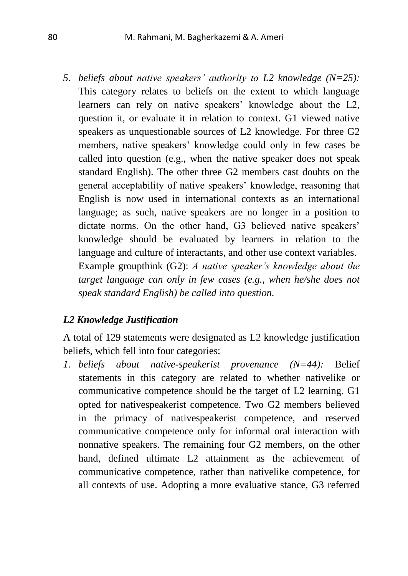*5. beliefs about native speakers' authority to L2 knowledge (N=25):* This category relates to beliefs on the extent to which language learners can rely on native speakers' knowledge about the L2, question it, or evaluate it in relation to context. G1 viewed native speakers as unquestionable sources of L2 knowledge. For three G2 members, native speakers' knowledge could only in few cases be called into question (e.g., when the native speaker does not speak standard English). The other three G2 members cast doubts on the general acceptability of native speakers' knowledge, reasoning that English is now used in international contexts as an international language; as such, native speakers are no longer in a position to dictate norms. On the other hand, G3 believed native speakers' knowledge should be evaluated by learners in relation to the language and culture of interactants, and other use context variables. Example groupthink (G2): *A native speaker's knowledge about the target language can only in few cases (e.g., when he/she does not* 

*speak standard English) be called into question.*

### *L2 Knowledge Justification*

A total of 129 statements were designated as L2 knowledge justification beliefs, which fell into four categories:

*1. beliefs about native-speakerist provenance (N=44):* Belief statements in this category are related to whether nativelike or communicative competence should be the target of L2 learning. G1 opted for nativespeakerist competence. Two G2 members believed in the primacy of nativespeakerist competence, and reserved communicative competence only for informal oral interaction with nonnative speakers. The remaining four G2 members, on the other hand, defined ultimate L2 attainment as the achievement of communicative competence, rather than nativelike competence, for all contexts of use. Adopting a more evaluative stance, G3 referred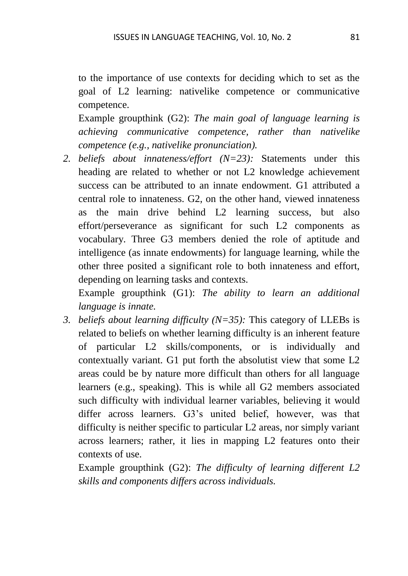to the importance of use contexts for deciding which to set as the goal of L2 learning: nativelike competence or communicative competence.

Example groupthink (G2): *The main goal of language learning is achieving communicative competence, rather than nativelike competence (e.g., nativelike pronunciation).* 

*2. beliefs about innateness/effort (N=23):* Statements under this heading are related to whether or not L2 knowledge achievement success can be attributed to an innate endowment. G1 attributed a central role to innateness. G2, on the other hand, viewed innateness as the main drive behind L2 learning success, but also effort/perseverance as significant for such L2 components as vocabulary. Three G3 members denied the role of aptitude and intelligence (as innate endowments) for language learning, while the other three posited a significant role to both innateness and effort, depending on learning tasks and contexts.

Example groupthink (G1): *The ability to learn an additional language is innate.*

*3. beliefs about learning difficulty (N=35):* This category of LLEBs is related to beliefs on whether learning difficulty is an inherent feature of particular L2 skills/components, or is individually and contextually variant. G1 put forth the absolutist view that some L2 areas could be by nature more difficult than others for all language learners (e.g., speaking). This is while all G2 members associated such difficulty with individual learner variables, believing it would differ across learners. G3's united belief, however, was that difficulty is neither specific to particular L2 areas, nor simply variant across learners; rather, it lies in mapping L2 features onto their contexts of use.

Example groupthink (G2): *The difficulty of learning different L2 skills and components differs across individuals.*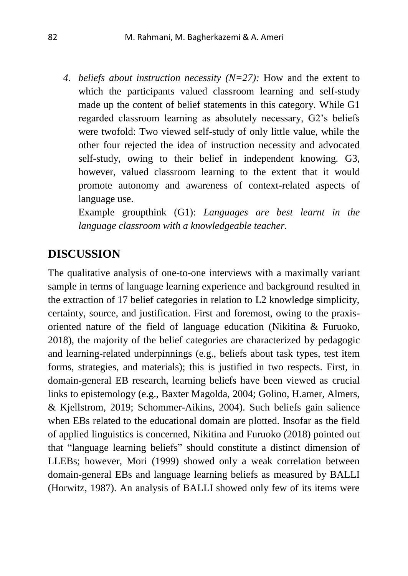*4. beliefs about instruction necessity (N=27):* How and the extent to which the participants valued classroom learning and self-study made up the content of belief statements in this category. While G1 regarded classroom learning as absolutely necessary, G2's beliefs were twofold: Two viewed self-study of only little value, while the other four rejected the idea of instruction necessity and advocated self-study, owing to their belief in independent knowing. G3, however, valued classroom learning to the extent that it would promote autonomy and awareness of context-related aspects of language use.

Example groupthink (G1): *Languages are best learnt in the language classroom with a knowledgeable teacher.*

### **DISCUSSION**

The qualitative analysis of one-to-one interviews with a maximally variant sample in terms of language learning experience and background resulted in the extraction of 17 belief categories in relation to L2 knowledge simplicity, certainty, source, and justification. First and foremost, owing to the praxisoriented nature of the field of language education (Nikitina & Furuoko, 2018), the majority of the belief categories are characterized by pedagogic and learning-related underpinnings (e.g., beliefs about task types, test item forms, strategies, and materials); this is justified in two respects. First, in domain-general EB research, learning beliefs have been viewed as crucial links to epistemology (e.g., Baxter Magolda, 2004; Golino, H.amer, Almers, & Kjellstrom, 2019; Schommer-Aikins, 2004). Such beliefs gain salience when EBs related to the educational domain are plotted. Insofar as the field of applied linguistics is concerned, Nikitina and Furuoko (2018) pointed out that "language learning beliefs" should constitute a distinct dimension of LLEBs; however, Mori (1999) showed only a weak correlation between domain-general EBs and language learning beliefs as measured by BALLI (Horwitz, 1987). An analysis of BALLI showed only few of its items were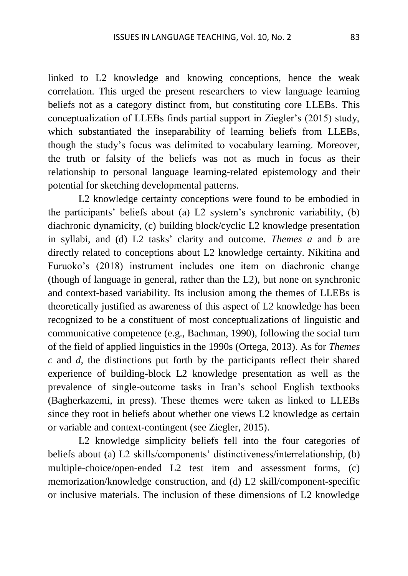linked to L2 knowledge and knowing conceptions, hence the weak correlation. This urged the present researchers to view language learning beliefs not as a category distinct from, but constituting core LLEBs. This conceptualization of LLEBs finds partial support in Ziegler's (2015) study, which substantiated the inseparability of learning beliefs from LLEBs, though the study's focus was delimited to vocabulary learning. Moreover, the truth or falsity of the beliefs was not as much in focus as their relationship to personal language learning-related epistemology and their potential for sketching developmental patterns.

 L2 knowledge certainty conceptions were found to be embodied in the participants' beliefs about (a) L2 system's synchronic variability, (b) diachronic dynamicity, (c) building block/cyclic L2 knowledge presentation in syllabi, and (d) L2 tasks' clarity and outcome. *Themes a* and *b* are directly related to conceptions about L2 knowledge certainty. Nikitina and Furuoko's (2018) instrument includes one item on diachronic change (though of language in general, rather than the L2), but none on synchronic and context-based variability. Its inclusion among the themes of LLEBs is theoretically justified as awareness of this aspect of L2 knowledge has been recognized to be a constituent of most conceptualizations of linguistic and communicative competence (e.g., Bachman, 1990), following the social turn of the field of applied linguistics in the 1990s (Ortega, 2013). As for *Themes c* and *d,* the distinctions put forth by the participants reflect their shared experience of building-block L2 knowledge presentation as well as the prevalence of single-outcome tasks in Iran's school English textbooks (Bagherkazemi, in press). These themes were taken as linked to LLEBs since they root in beliefs about whether one views L2 knowledge as certain or variable and context-contingent (see Ziegler, 2015).

 L2 knowledge simplicity beliefs fell into the four categories of beliefs about (a) L2 skills/components' distinctiveness/interrelationship, (b) multiple-choice/open-ended L2 test item and assessment forms, (c) memorization/knowledge construction, and (d) L2 skill/component-specific or inclusive materials. The inclusion of these dimensions of L2 knowledge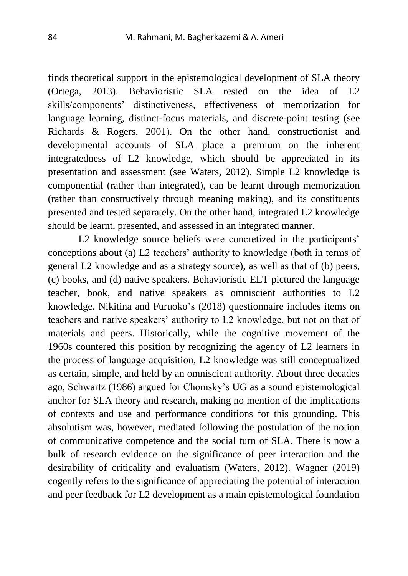finds theoretical support in the epistemological development of SLA theory (Ortega, 2013). Behavioristic SLA rested on the idea of L2 skills/components' distinctiveness, effectiveness of memorization for language learning, distinct-focus materials, and discrete-point testing (see Richards & Rogers, 2001). On the other hand, constructionist and developmental accounts of SLA place a premium on the inherent integratedness of L2 knowledge, which should be appreciated in its presentation and assessment (see Waters, 2012). Simple L2 knowledge is componential (rather than integrated), can be learnt through memorization (rather than constructively through meaning making), and its constituents presented and tested separately. On the other hand, integrated L2 knowledge should be learnt, presented, and assessed in an integrated manner.

 L2 knowledge source beliefs were concretized in the participants' conceptions about (a) L2 teachers' authority to knowledge (both in terms of general L2 knowledge and as a strategy source), as well as that of (b) peers, (c) books, and (d) native speakers. Behavioristic ELT pictured the language teacher, book, and native speakers as omniscient authorities to L2 knowledge. Nikitina and Furuoko's (2018) questionnaire includes items on teachers and native speakers' authority to L2 knowledge, but not on that of materials and peers. Historically, while the cognitive movement of the 1960s countered this position by recognizing the agency of L2 learners in the process of language acquisition, L2 knowledge was still conceptualized as certain, simple, and held by an omniscient authority. About three decades ago, Schwartz (1986) argued for Chomsky's UG as a sound epistemological anchor for SLA theory and research, making no mention of the implications of contexts and use and performance conditions for this grounding. This absolutism was, however, mediated following the postulation of the notion of communicative competence and the social turn of SLA. There is now a bulk of research evidence on the significance of peer interaction and the desirability of criticality and evaluatism (Waters, 2012). Wagner (2019) cogently refers to the significance of appreciating the potential of interaction and peer feedback for L2 development as a main epistemological foundation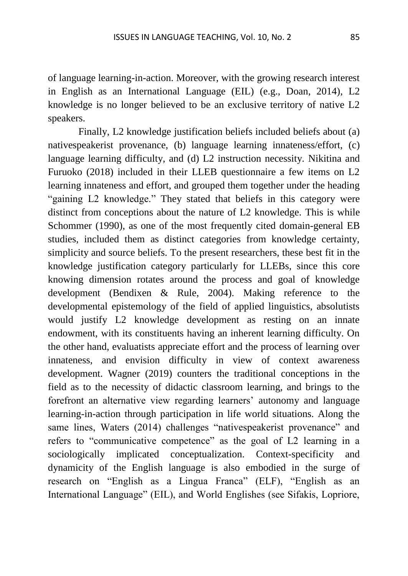of language learning-in-action. Moreover, with the growing research interest in English as an International Language (EIL) (e.g., Doan, 2014), L2 knowledge is no longer believed to be an exclusive territory of native L2 speakers.

 Finally, L2 knowledge justification beliefs included beliefs about (a) nativespeakerist provenance, (b) language learning innateness/effort, (c) language learning difficulty, and (d) L2 instruction necessity. Nikitina and Furuoko (2018) included in their LLEB questionnaire a few items on L2 learning innateness and effort, and grouped them together under the heading "gaining L2 knowledge." They stated that beliefs in this category were distinct from conceptions about the nature of L2 knowledge. This is while Schommer (1990), as one of the most frequently cited domain-general EB studies, included them as distinct categories from knowledge certainty, simplicity and source beliefs. To the present researchers, these best fit in the knowledge justification category particularly for LLEBs, since this core knowing dimension rotates around the process and goal of knowledge development (Bendixen & Rule, 2004). Making reference to the developmental epistemology of the field of applied linguistics, absolutists would justify L2 knowledge development as resting on an innate endowment, with its constituents having an inherent learning difficulty. On the other hand, evaluatists appreciate effort and the process of learning over innateness, and envision difficulty in view of context awareness development. Wagner (2019) counters the traditional conceptions in the field as to the necessity of didactic classroom learning, and brings to the forefront an alternative view regarding learners' autonomy and language learning-in-action through participation in life world situations. Along the same lines, Waters (2014) challenges "nativespeakerist provenance" and refers to "communicative competence" as the goal of L2 learning in a sociologically implicated conceptualization. Context-specificity and dynamicity of the English language is also embodied in the surge of research on "English as a Lingua Franca" (ELF), "English as an International Language" (EIL), and World Englishes (see Sifakis, Lopriore,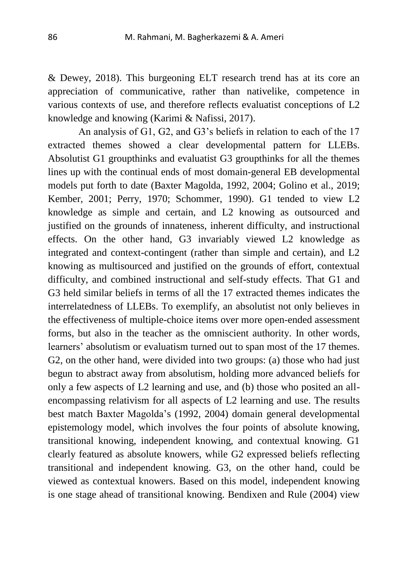& Dewey, 2018). This burgeoning ELT research trend has at its core an appreciation of communicative, rather than nativelike, competence in various contexts of use, and therefore reflects evaluatist conceptions of L2 knowledge and knowing (Karimi & Nafissi, 2017).

 An analysis of G1, G2, and G3's beliefs in relation to each of the 17 extracted themes showed a clear developmental pattern for LLEBs. Absolutist G1 groupthinks and evaluatist G3 groupthinks for all the themes lines up with the continual ends of most domain-general EB developmental models put forth to date (Baxter Magolda, 1992, 2004; Golino et al., 2019; Kember, 2001; Perry, 1970; Schommer, 1990). G1 tended to view L2 knowledge as simple and certain, and L2 knowing as outsourced and justified on the grounds of innateness, inherent difficulty, and instructional effects. On the other hand, G3 invariably viewed L2 knowledge as integrated and context-contingent (rather than simple and certain), and L2 knowing as multisourced and justified on the grounds of effort, contextual difficulty, and combined instructional and self-study effects. That G1 and G3 held similar beliefs in terms of all the 17 extracted themes indicates the interrelatedness of LLEBs. To exemplify, an absolutist not only believes in the effectiveness of multiple-choice items over more open-ended assessment forms, but also in the teacher as the omniscient authority. In other words, learners' absolutism or evaluatism turned out to span most of the 17 themes. G2, on the other hand, were divided into two groups: (a) those who had just begun to abstract away from absolutism, holding more advanced beliefs for only a few aspects of L2 learning and use, and (b) those who posited an allencompassing relativism for all aspects of L2 learning and use. The results best match Baxter Magolda's (1992, 2004) domain general developmental epistemology model, which involves the four points of absolute knowing, transitional knowing, independent knowing, and contextual knowing. G1 clearly featured as absolute knowers, while G2 expressed beliefs reflecting transitional and independent knowing. G3, on the other hand, could be viewed as contextual knowers. Based on this model, independent knowing is one stage ahead of transitional knowing. Bendixen and Rule (2004) view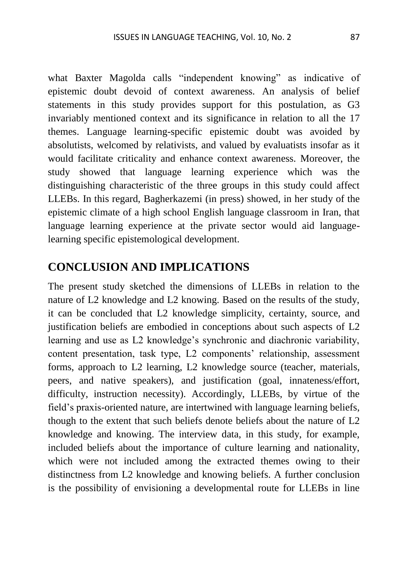what Baxter Magolda calls "independent knowing" as indicative of epistemic doubt devoid of context awareness. An analysis of belief statements in this study provides support for this postulation, as G3 invariably mentioned context and its significance in relation to all the 17 themes. Language learning-specific epistemic doubt was avoided by absolutists, welcomed by relativists, and valued by evaluatists insofar as it would facilitate criticality and enhance context awareness. Moreover, the study showed that language learning experience which was the distinguishing characteristic of the three groups in this study could affect LLEBs. In this regard, Bagherkazemi (in press) showed, in her study of the epistemic climate of a high school English language classroom in Iran, that language learning experience at the private sector would aid languagelearning specific epistemological development.

### **CONCLUSION AND IMPLICATIONS**

The present study sketched the dimensions of LLEBs in relation to the nature of L2 knowledge and L2 knowing. Based on the results of the study, it can be concluded that L2 knowledge simplicity, certainty, source, and justification beliefs are embodied in conceptions about such aspects of L2 learning and use as L2 knowledge's synchronic and diachronic variability, content presentation, task type, L2 components' relationship, assessment forms, approach to L2 learning, L2 knowledge source (teacher, materials, peers, and native speakers), and justification (goal, innateness/effort, difficulty, instruction necessity). Accordingly, LLEBs, by virtue of the field's praxis-oriented nature, are intertwined with language learning beliefs, though to the extent that such beliefs denote beliefs about the nature of L2 knowledge and knowing. The interview data, in this study, for example, included beliefs about the importance of culture learning and nationality, which were not included among the extracted themes owing to their distinctness from L2 knowledge and knowing beliefs. A further conclusion is the possibility of envisioning a developmental route for LLEBs in line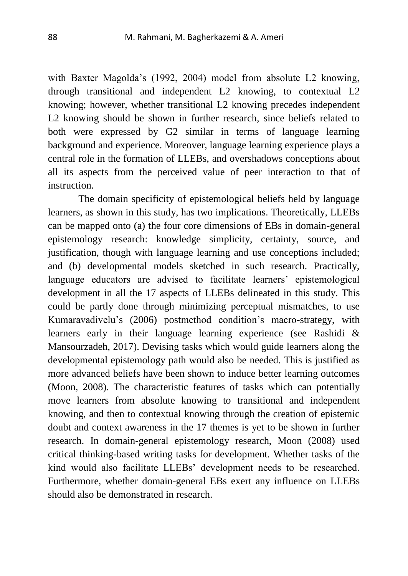with Baxter Magolda's (1992, 2004) model from absolute L2 knowing, through transitional and independent L2 knowing, to contextual L2 knowing; however, whether transitional L2 knowing precedes independent L2 knowing should be shown in further research, since beliefs related to both were expressed by G2 similar in terms of language learning background and experience. Moreover, language learning experience plays a central role in the formation of LLEBs, and overshadows conceptions about all its aspects from the perceived value of peer interaction to that of instruction.

 The domain specificity of epistemological beliefs held by language learners, as shown in this study, has two implications. Theoretically, LLEBs can be mapped onto (a) the four core dimensions of EBs in domain-general epistemology research: knowledge simplicity, certainty, source, and justification, though with language learning and use conceptions included; and (b) developmental models sketched in such research. Practically, language educators are advised to facilitate learners' epistemological development in all the 17 aspects of LLEBs delineated in this study. This could be partly done through minimizing perceptual mismatches, to use Kumaravadivelu's (2006) postmethod condition's macro-strategy, with learners early in their language learning experience (see Rashidi & Mansourzadeh, 2017). Devising tasks which would guide learners along the developmental epistemology path would also be needed. This is justified as more advanced beliefs have been shown to induce better learning outcomes (Moon, 2008). The characteristic features of tasks which can potentially move learners from absolute knowing to transitional and independent knowing, and then to contextual knowing through the creation of epistemic doubt and context awareness in the 17 themes is yet to be shown in further research. In domain-general epistemology research, Moon (2008) used critical thinking-based writing tasks for development. Whether tasks of the kind would also facilitate LLEBs' development needs to be researched. Furthermore, whether domain-general EBs exert any influence on LLEBs should also be demonstrated in research.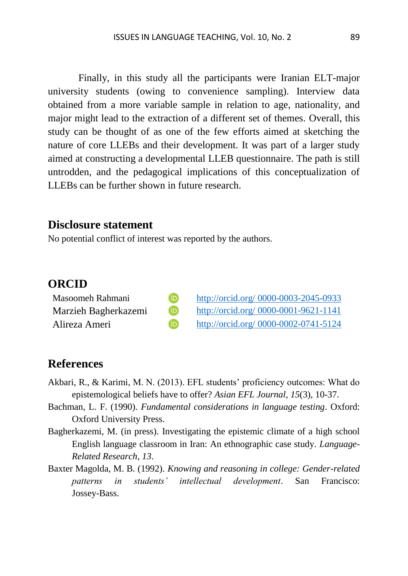Finally, in this study all the participants were Iranian ELT-major university students (owing to convenience sampling). Interview data obtained from a more variable sample in relation to age, nationality, and major might lead to the extraction of a different set of themes. Overall, this study can be thought of as one of the few efforts aimed at sketching the nature of core LLEBs and their development. It was part of a larger study aimed at constructing a developmental LLEB questionnaire. The path is still untrodden, and the pedagogical implications of this conceptualization of LLEBs can be further shown in future research.

### **Disclosure statement**

No potential conflict of interest was reported by the authors.

#### **ORCID**

| Masoomeh Rahmani     | (iD)                    | http://orcid.org/ 0000-0003-2045-0933 |
|----------------------|-------------------------|---------------------------------------|
| Marzieh Bagherkazemi | $\overline{\mathbf{D}}$ | http://orcid.org/ 0000-0001-9621-1141 |
| Alireza Ameri        | <b>j</b>                | http://orcid.org/ 0000-0002-0741-5124 |

### **References**

- Akbari, R., & Karimi, M. N. (2013). EFL students' proficiency outcomes: What do epistemological beliefs have to offer? *Asian EFL Journal*, *15*(3), 10-37.
- Bachman, L. F. (1990). *Fundamental considerations in language testing*. Oxford: Oxford University Press.
- Bagherkazemi, M. (in press). Investigating the epistemic climate of a high school English language classroom in Iran: An ethnographic case study. *Language-Related Research*, *13*.
- Baxter Magolda, M. B. (1992). *Knowing and reasoning in college: Gender-related patterns in students' intellectual development*. San Francisco: Jossey-Bass.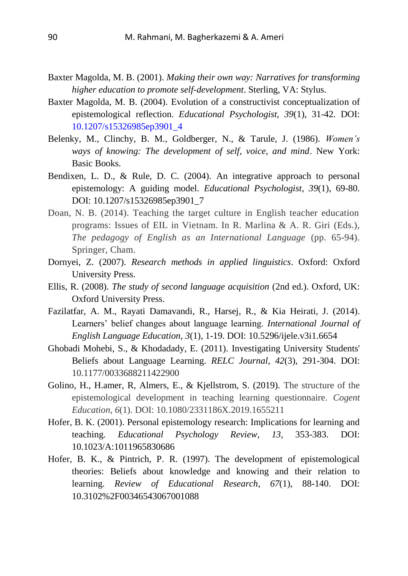- Baxter Magolda, M. B. (2001). *Making their own way: Narratives for transforming higher education to promote self-development*. Sterling, VA: Stylus.
- Baxter Magolda, M. B. (2004). Evolution of a constructivist conceptualization of epistemological reflection. *Educational Psychologist, 39*(1), 31-42. DOI: 10.1207/s15326985ep3901\_4
- Belenky, M., Clinchy, B. M., Goldberger, N., & Tarule, J. (1986). *Women's ways of knowing: The development of self, voice, and mind*. New York: Basic Books.
- Bendixen, L. D., & Rule, D. C. (2004). An integrative approach to personal epistemology: A guiding model. *Educational Psychologist*, *39*(1), 69-80. DOI: 10.1207/s15326985ep3901\_7
- Doan, N. B. (2014). Teaching the target culture in English teacher education programs: Issues of EIL in Vietnam. In R. Marlina & A. R. Giri (Eds.), *The pedagogy of English as an International Language* (pp. 65-94). Springer, Cham.
- Dornyei, Z. (2007). *Research methods in applied linguistics*. Oxford: Oxford University Press.
- Ellis, R. (2008). *The study of second language acquisition* (2nd ed.). Oxford, UK: Oxford University Press.
- Fazilatfar, A. M., Rayati Damavandi, R., Harsej, R., & Kia Heirati, J. (2014). Learners' belief changes about language learning. *International Journal of English Language Education*, *3*(1), 1-19. DOI: 10.5296/ijele.v3i1.6654
- Ghobadi Mohebi, S., & Khodadady, E. (2011). Investigating University Students' Beliefs about Language Learning. *RELC Journal*, *42*(3), 291-304. DOI: 10.1177/0033688211422900
- Golino, H., H.amer, R, Almers, E., & Kjellstrom, S. (2019). The structure of the epistemological development in teaching learning questionnaire. *Cogent Education*, *6*(1). DOI: 10.1080/2331186X.2019.1655211
- Hofer, B. K. (2001). Personal epistemology research: Implications for learning and teaching. *Educational Psychology Review*, *13*, 353-383. DOI: 10.1023/A:1011965830686
- Hofer, B. K., & Pintrich, P. R. (1997). The development of epistemological theories: Beliefs about knowledge and knowing and their relation to learning. *Review of Educational Research*, *67*(1), 88-140. DOI: 10.3102%2F00346543067001088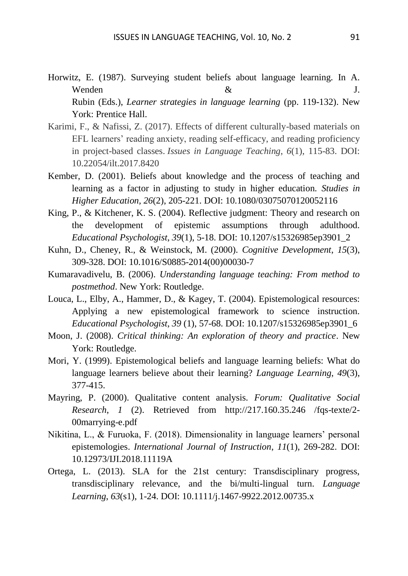- Horwitz, E. (1987). Surveying student beliefs about language learning. In A. Wenden  $\&$  J. Rubin (Eds.), *Learner strategies in language learning* (pp. 119-132). New York: Prentice Hall.
- Karimi, F., & Nafissi, Z. (2017). Effects of different culturally-based materials on EFL learners' reading anxiety, reading self-efficacy, and reading proficiency in project-based classes. *Issues in Language Teaching*, *6*(1), 115-83. DOI: 10.22054/ilt.2017.8420
- Kember, D. (2001). Beliefs about knowledge and the process of teaching and learning as a factor in adjusting to study in higher education. *Studies in Higher Education, 26*(2), 205-221. DOI: 10.1080/03075070120052116
- King, P., & Kitchener, K. S. (2004). Reflective judgment: Theory and research on the development of epistemic assumptions through adulthood. *Educational Psychologist*, *39*(1), 5-18. DOI: 10.1207/s15326985ep3901\_2
- Kuhn, D., Cheney, R., & Weinstock, M. (2000). *Cognitive Development*, *15*(3), 309-328. DOI: [10.1016/S0885-2014\(00\)00030-7](http://dx.doi.org/10.1016/S0885-2014(00)00030-7)
- Kumaravadivelu, B. (2006). *Understanding language teaching: From method to postmethod*. New York: Routledge.
- Louca, L., Elby, A., Hammer, D., & Kagey, T. (2004). Epistemological resources: Applying a new epistemological framework to science instruction. *Educational Psychologist*, *39* (1), 57-68. DOI: 10.1207/s15326985ep3901\_6
- Moon, J. (2008). *Critical thinking: An exploration of theory and practice*. New York: Routledge.
- Mori, Y. (1999). Epistemological beliefs and language learning beliefs: What do language learners believe about their learning? *Language Learning*, *49*(3), 377-415.
- Mayring, P. (2000). Qualitative content analysis. *Forum: Qualitative Social Research*, *1* (2). Retrieved from http://217.160.35.246 /fqs-texte/2- 00marrying-e.pdf
- Nikitina, L., & Furuoka, F. (2018). Dimensionality in language learners' personal epistemologies. *International Journal of Instruction*, *11*(1), 269-282. DOI: 10.12973/IJI.2018.11119A
- Ortega, L. (2013). SLA for the 21st century: Transdisciplinary progress, transdisciplinary relevance, and the bi/multi-lingual turn. *Language Learning*, *63*(s1), 1-24. DOI: 10.1111/j.1467-9922.2012.00735.x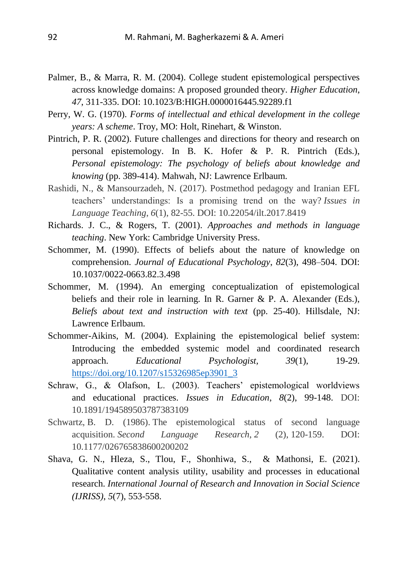- Palmer, B., & Marra, R. M. (2004). College student epistemological perspectives across knowledge domains: A proposed grounded theory. *Higher Education*, *47*, 311-335. DOI: 10.1023/B:HIGH.0000016445.92289.f1
- Perry, W. G. (1970). *Forms of intellectual and ethical development in the college years: A scheme*. Troy, MO: Holt, Rinehart, & Winston.
- Pintrich, P. R. (2002). Future challenges and directions for theory and research on personal epistemology. In B. K. Hofer & P. R. Pintrich (Eds.), *Personal epistemology: The psychology of beliefs about knowledge and knowing* (pp. 389-414). Mahwah, NJ: Lawrence Erlbaum.
- Rashidi, N., & Mansourzadeh, N. (2017). Postmethod pedagogy and Iranian EFL teachers' understandings: Is a promising trend on the way? *Issues in Language Teaching*, *6*(1), 82-55. DOI: 10.22054/ilt.2017.8419
- Richards. J. C., & Rogers, T. (2001). *Approaches and methods in language teaching*. New York: Cambridge University Press.
- Schommer, M. (1990). Effects of beliefs about the nature of knowledge on comprehension. *Journal of Educational Psychology*, *82*(3), 498–504. DOI: 10.1037/0022-0663.82.3.498
- Schommer, M. (1994). An emerging conceptualization of epistemological beliefs and their role in learning. In R. Garner & P. A. Alexander (Eds.), *Beliefs about text and instruction with text* (pp. 25-40). Hillsdale, NJ: Lawrence Erlbaum.
- Schommer-Aikins, M. (2004). Explaining the epistemological belief system: Introducing the embedded systemic model and coordinated research approach. *Educational Psychologist, 39*(1), 19-29. [https://doi.org/10.1207/s15326985ep3901\\_3](https://psycnet.apa.org/doi/10.1207/s15326985ep3901_3)
- Schraw, G., & Olafson, L. (2003). Teachers' epistemological worldviews and educational practices. *Issues in Education*, *8*(2), 99-148. DOI: 10.1891/194589503787383109
- Schwartz, B. D. (1986). The epistemological status of second language acquisition. *Second Language Research*, *2* (2), 120-159. DOI: 10.1177/026765838600200202
- Shava, G. N., Hleza, S., Tlou, F., Shonhiwa, S., & Mathonsi, E. (2021). Qualitative content analysis utility, usability and processes in educational research. *International Journal of Research and Innovation in Social Science (IJRISS)*, *5*(7), 553-558.